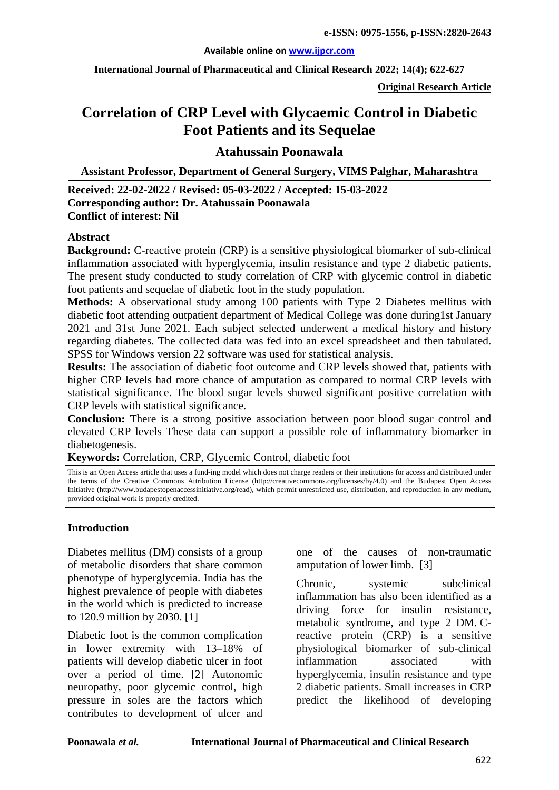#### **Available online on [www.ijpcr.com](http://www.ijpcr.com/)**

**International Journal of Pharmaceutical and Clinical Research 2022; 14(4); 622-627**

**Original Research Article**

# **Correlation of CRP Level with Glycaemic Control in Diabetic Foot Patients and its Sequelae**

**Atahussain Poonawala**

**Assistant Professor, Department of General Surgery, VIMS Palghar, Maharashtra**

# **Received: 22-02-2022 / Revised: 05-03-2022 / Accepted: 15-03-2022 Corresponding author: Dr. Atahussain Poonawala Conflict of interest: Nil**

#### **Abstract**

**Background:** C-reactive protein (CRP) is a sensitive physiological biomarker of sub-clinical inflammation associated with hyperglycemia, insulin resistance and type 2 diabetic patients. The present study conducted to study correlation of CRP with glycemic control in diabetic foot patients and sequelae of diabetic foot in the study population.

**Methods:** A observational study among 100 patients with Type 2 Diabetes mellitus with diabetic foot attending outpatient department of Medical College was done during1st January 2021 and 31st June 2021. Each subject selected underwent a medical history and history regarding diabetes. The collected data was fed into an excel spreadsheet and then tabulated. SPSS for Windows version 22 software was used for statistical analysis.

**Results:** The association of diabetic foot outcome and CRP levels showed that, patients with higher CRP levels had more chance of amputation as compared to normal CRP levels with statistical significance. The blood sugar levels showed significant positive correlation with CRP levels with statistical significance.

**Conclusion:** There is a strong positive association between poor blood sugar control and elevated CRP levels These data can support a possible role of inflammatory biomarker in diabetogenesis.

**Keywords:** Correlation, CRP, Glycemic Control, diabetic foot

This is an Open Access article that uses a fund-ing model which does not charge readers or their institutions for access and distributed under the terms of the Creative Commons Attribution License (http://creativecommons.org/licenses/by/4.0) and the Budapest Open Access Initiative (http://www.budapestopenaccessinitiative.org/read), which permit unrestricted use, distribution, and reproduction in any medium, provided original work is properly credited.

# **Introduction**

Diabetes mellitus (DM) consists of a group of metabolic disorders that share common phenotype of hyperglycemia. India has the highest prevalence of people with diabetes in the world which is predicted to increase to 120.9 million by 2030. [1]

Diabetic foot is the common complication in lower extremity with 13–18% of patients will develop diabetic ulcer in foot over a period of time. [2] Autonomic neuropathy, poor glycemic control, high pressure in soles are the factors which contributes to development of ulcer and

one of the causes of non-traumatic amputation of lower limb. [3]

Chronic, systemic subclinical inflammation has also been identified as a driving force for insulin resistance, metabolic syndrome, and type 2 DM. Creactive protein (CRP) is a sensitive physiological biomarker of sub-clinical inflammation associated with hyperglycemia, insulin resistance and type 2 diabetic patients. Small increases in CRP predict the likelihood of developing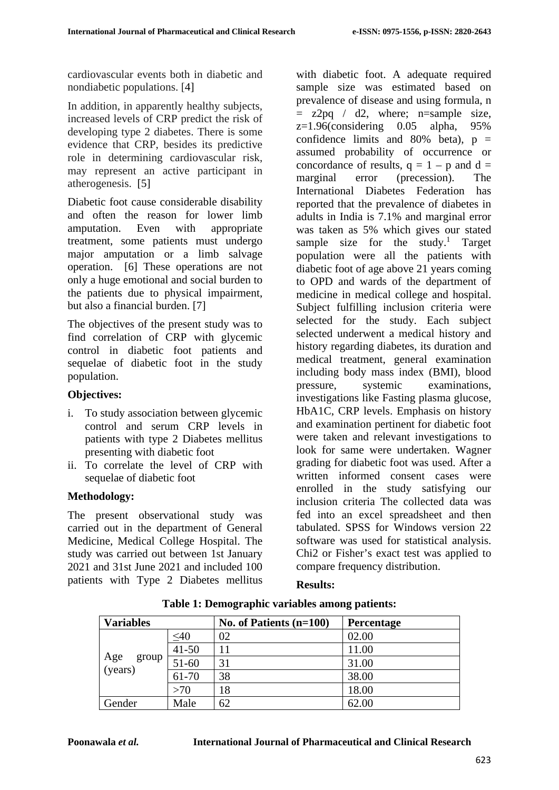cardiovascular events both in diabetic and nondiabetic populations. [4]

In addition, in apparently healthy subjects, increased levels of CRP predict the risk of developing type 2 diabetes. There is some evidence that CRP, besides its predictive role in determining cardiovascular risk, may represent an active participant in atherogenesis. [5]

Diabetic foot cause considerable disability and often the reason for lower limb amputation. Even with appropriate treatment, some patients must undergo major amputation or a limb salvage operation. [6] These operations are not only a huge emotional and social burden to the patients due to physical impairment, but also a financial burden. [7]

The objectives of the present study was to find correlation of CRP with glycemic control in diabetic foot patients and sequelae of diabetic foot in the study population.

# **Objectives:**

- i. To study association between glycemic control and serum CRP levels in patients with type 2 Diabetes mellitus presenting with diabetic foot
- ii. To correlate the level of CRP with sequelae of diabetic foot

# **Methodology:**

The present observational study was carried out in the department of General Medicine, Medical College Hospital. The study was carried out between 1st January 2021 and 31st June 2021 and included 100 patients with Type 2 Diabetes mellitus

with diabetic foot. A adequate required sample size was estimated based on prevalence of disease and using formula, n  $= z2pq / d2$ , where; n=sample size,  $z=1.96$ (considering 0.05 alpha,  $95\%$ confidence limits and  $80\%$  beta),  $p =$ assumed probability of occurrence or concordance of results,  $q = 1 - p$  and  $d =$ marginal error (precession). The International Diabetes Federation has reported that the prevalence of diabetes in adults in India is 7.1% and marginal error was taken as 5% which gives our stated sample size for the study.<sup>1</sup> Target population were all the patients with diabetic foot of age above 21 years coming to OPD and wards of the department of medicine in medical college and hospital. Subject fulfilling inclusion criteria were selected for the study. Each subject selected underwent a medical history and history regarding diabetes, its duration and medical treatment, general examination including body mass index (BMI), blood pressure, systemic examinations, investigations like Fasting plasma glucose, HbA1C, CRP levels. Emphasis on history and examination pertinent for diabetic foot were taken and relevant investigations to look for same were undertaken. Wagner grading for diabetic foot was used. After a written informed consent cases were enrolled in the study satisfying our inclusion criteria The collected data was fed into an excel spreadsheet and then tabulated. SPSS for Windows version 22 software was used for statistical analysis. Chi2 or Fisher's exact test was applied to compare frequency distribution.

# **Results:**

| <b>Variables</b>        |           | No. of Patients $(n=100)$ | <b>Percentage</b> |
|-------------------------|-----------|---------------------------|-------------------|
|                         | $\leq 40$ | 02                        | 02.00             |
| Age<br>(years)<br>group | $41 - 50$ | 11                        | 11.00             |
|                         | 51-60     | 31                        | 31.00             |
|                         | 61-70     | 38                        | 38.00             |
|                         | >70       | 18                        | 18.00             |
| Gender                  | Male      | 62                        | 62.00             |

**Table 1: Demographic variables among patients:**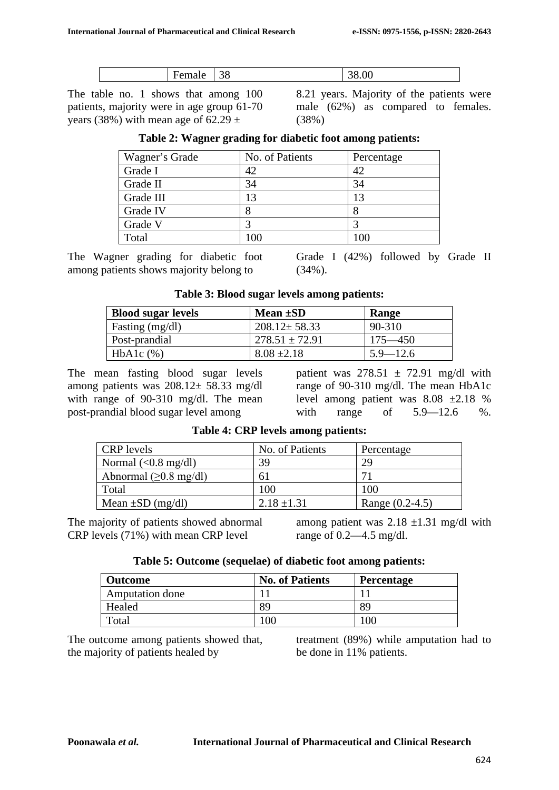|  | - |  | -<br>ັ<br><u>.</u> | Ш |
|--|---|--|--------------------|---|
|--|---|--|--------------------|---|

The table no. 1 shows that among 100 patients, majority were in age group 61-70 years (38%) with mean age of  $62.29 \pm$ 

8.21 years. Majority of the patients were male (62%) as compared to females. (38%)

| Wagner's Grade | No. of Patients | Percentage |
|----------------|-----------------|------------|
| Grade I        | 42              | 42         |
| Grade II       | 34              | 34         |
| Grade III      | 13              | 13         |
| Grade IV       |                 |            |
| Grade V        |                 |            |
| Total          |                 | 100        |

| Table 2: Wagner grading for diabetic foot among patients: |  |  |  |  |  |  |  |  |  |  |
|-----------------------------------------------------------|--|--|--|--|--|--|--|--|--|--|
|-----------------------------------------------------------|--|--|--|--|--|--|--|--|--|--|

The Wagner grading for diabetic foot among patients shows majority belong to

Grade I (42%) followed by Grade II (34%).

**Table 3: Blood sugar levels among patients:**

| <b>Blood sugar levels</b> | Mean $\pm SD$      | <b>Range</b> |
|---------------------------|--------------------|--------------|
| Fasting (mg/dl)           | $208.12 \pm 58.33$ | 90-310       |
| Post-prandial             | $278.51 \pm 72.91$ | $175 - 450$  |
| $HbA1c$ $%$               | $8.08 \pm 2.18$    | $5.9 - 12.6$ |

The mean fasting blood sugar levels among patients was  $208.12 \pm 58.33$  mg/dl with range of 90-310 mg/dl. The mean post-prandial blood sugar level among

patient was  $278.51 \pm 72.91$  mg/dl with range of 90-310 mg/dl. The mean HbA1c level among patient was 8.08 ±2.18 % with range of 5.9–12.6 %.

| <b>CRP</b> levels                   | No. of Patients | Percentage      |
|-------------------------------------|-----------------|-----------------|
| Normal $(<0.8$ mg/dl)               | 39              | 29              |
| Abnormal $(\geq 0.8 \text{ mg/dl})$ | ΩI              | 71              |
| Total                               | 100             | 100             |
| Mean $\pm SD$ (mg/dl)               | $2.18 \pm 1.31$ | Range (0.2-4.5) |

**Table 4: CRP levels among patients:**

The majority of patients showed abnormal CRP levels (71%) with mean CRP level

among patient was  $2.18 \pm 1.31$  mg/dl with range of 0.2—4.5 mg/dl.

|  | Table 5: Outcome (sequelae) of diabetic foot among patients: |  |  |  |
|--|--------------------------------------------------------------|--|--|--|
|--|--------------------------------------------------------------|--|--|--|

| <b>Outcome</b>         | <b>No. of Patients</b> | Percentage |
|------------------------|------------------------|------------|
| <b>Amputation done</b> |                        |            |
| Healed                 | 89                     | 89         |
| Total                  | 00                     | 00         |

The outcome among patients showed that, the majority of patients healed by

treatment (89%) while amputation had to be done in 11% patients.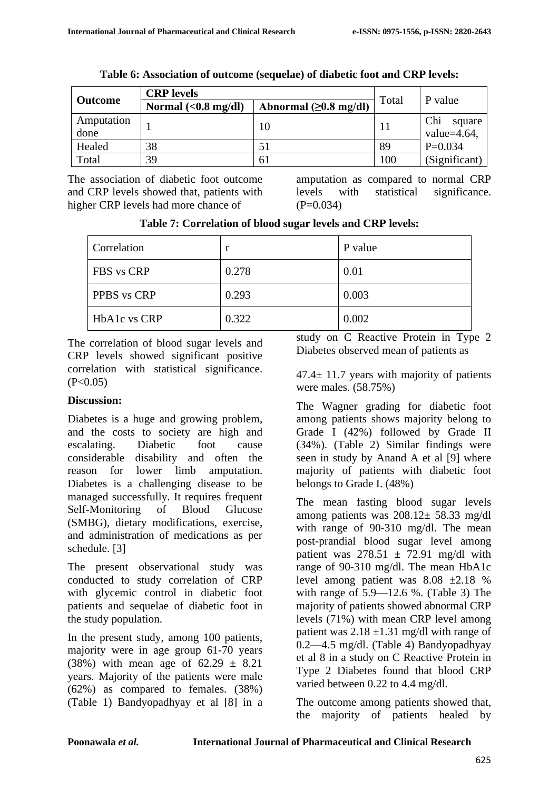| <b>Outcome</b>     | <b>CRP</b> levels            | Total                   |     |                                  |
|--------------------|------------------------------|-------------------------|-----|----------------------------------|
|                    | Normal $(0.8 \text{ mg/dl})$ | Abnormal $(≥0.8$ mg/dl) |     | P value                          |
| Amputation<br>done |                              | 10                      |     | Chi<br>square<br>value= $4.64$ , |
| Healed             | 38                           | 51                      | 89  | $P=0.034$                        |
| Total              | 39                           | 61                      | 100 | (Significant)                    |

**Table 6: Association of outcome (sequelae) of diabetic foot and CRP levels:**

The association of diabetic foot outcome and CRP levels showed that, patients with higher CRP levels had more chance of

amputation as compared to normal CRP levels with statistical significance.  $(P=0.034)$ 

| Table 7: Correlation of blood sugar levels and CRP levels: |
|------------------------------------------------------------|
|------------------------------------------------------------|

| Correlation  |       | P value |
|--------------|-------|---------|
| FBS vs CRP   | 0.278 | 0.01    |
| PPBS vs CRP  | 0.293 | 0.003   |
| HbA1c vs CRP | 0.322 | 0.002   |

The correlation of blood sugar levels and CRP levels showed significant positive correlation with statistical significance.  $(P<0.05)$ 

# **Discussion:**

Diabetes is a huge and growing problem, and the costs to society are high and escalating. Diabetic foot cause considerable disability and often the reason for lower limb amputation. Diabetes is a challenging disease to be managed successfully. It requires frequent Self-Monitoring of Blood Glucose (SMBG), dietary modifications, exercise, and administration of medications as per schedule. [3]

The present observational study was conducted to study correlation of CRP with glycemic control in diabetic foot patients and sequelae of diabetic foot in the study population.

In the present study, among 100 patients, majority were in age group 61-70 years (38%) with mean age of  $62.29 \pm 8.21$ years. Majority of the patients were male (62%) as compared to females. (38%) (Table 1) Bandyopadhyay et al [8] in a study on C Reactive Protein in Type 2 Diabetes observed mean of patients as

 $47.4 \pm 11.7$  years with majority of patients were males. (58.75%)

The Wagner grading for diabetic foot among patients shows majority belong to Grade I (42%) followed by Grade II (34%). (Table 2) Similar findings were seen in study by Anand A et al [9] where majority of patients with diabetic foot belongs to Grade I. (48%)

The mean fasting blood sugar levels among patients was 208.12± 58.33 mg/dl with range of 90-310 mg/dl. The mean post-prandial blood sugar level among patient was  $278.51 \pm 72.91$  mg/dl with range of 90-310 mg/dl. The mean HbA1c level among patient was  $8.08 \pm 2.18$  % with range of 5.9—12.6 %. (Table 3) The majority of patients showed abnormal CRP levels (71%) with mean CRP level among patient was  $2.18 \pm 1.31$  mg/dl with range of 0.2—4.5 mg/dl. (Table 4) Bandyopadhyay et al 8 in a study on C Reactive Protein in Type 2 Diabetes found that blood CRP varied between 0.22 to 4.4 mg/dl.

The outcome among patients showed that, the majority of patients healed by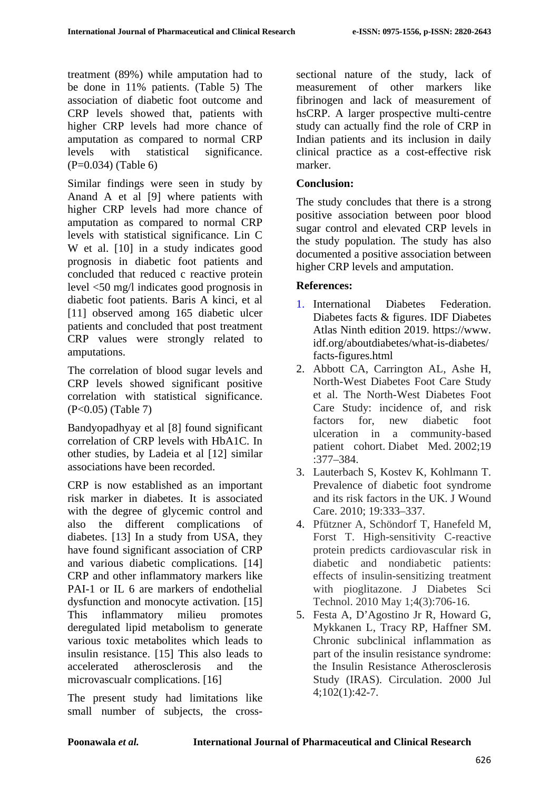treatment (89%) while amputation had to be done in 11% patients. (Table 5) The association of diabetic foot outcome and CRP levels showed that, patients with higher CRP levels had more chance of amputation as compared to normal CRP levels with statistical significance. (P=0.034) (Table 6)

Similar findings were seen in study by Anand A et al [9] where patients with higher CRP levels had more chance of amputation as compared to normal CRP levels with statistical significance. Lin C W et al. [10] in a study indicates good prognosis in diabetic foot patients and concluded that reduced c reactive protein level <50 mg/l indicates good prognosis in diabetic foot patients. Baris A kinci, et al [11] observed among 165 diabetic ulcer patients and concluded that post treatment CRP values were strongly related to amputations.

The correlation of blood sugar levels and CRP levels showed significant positive correlation with statistical significance. (P<0.05) (Table 7)

Bandyopadhyay et al [8] found significant correlation of CRP levels with HbA1C. In other studies, by Ladeia et al [12] similar associations have been recorded.

CRP is now established as an important risk marker in diabetes. It is associated with the degree of glycemic control and also the different complications of diabetes. [13] In a study from USA, they have found significant association of CRP and various diabetic complications. [14] CRP and other inflammatory markers like PAI-1 or IL 6 are markers of endothelial dysfunction and monocyte activation. [15] This inflammatory milieu promotes deregulated lipid metabolism to generate various toxic metabolites which leads to insulin resistance. [15] This also leads to accelerated atherosclerosis and the microvascualr complications. [16]

The present study had limitations like small number of subjects, the crosssectional nature of the study, lack of measurement of other markers like fibrinogen and lack of measurement of hsCRP. A larger prospective multi-centre study can actually find the role of CRP in Indian patients and its inclusion in daily clinical practice as a cost-effective risk marker.

# **Conclusion:**

The study concludes that there is a strong positive association between poor blood sugar control and elevated CRP levels in the study population. The study has also documented a positive association between higher CRP levels and amputation.

# **References:**

- 1. International Diabetes Federation. Diabetes facts & figures. IDF Diabetes Atlas Ninth edition 2019. https://www. idf.org/aboutdiabetes/what-is-diabetes/ facts-figures.html
- 2. Abbott CA, Carrington AL, Ashe H, North-West Diabetes Foot Care Study et al. The North-West Diabetes Foot Care Study: incidence of, and risk factors for, new diabetic foot ulceration in a community-based patient cohort. Diabet Med. 2002;19 :377–384.
- 3. Lauterbach S, Kostev K, Kohlmann T. Prevalence of diabetic foot syndrome and its risk factors in the UK. J Wound Care. 2010; 19:333–337.
- 4. Pfützner A, Schöndorf T, Hanefeld M, Forst T. High-sensitivity C-reactive protein predicts cardiovascular risk in diabetic and nondiabetic patients: effects of insulin-sensitizing treatment with pioglitazone. J Diabetes Sci Technol. 2010 May 1;4(3):706-16.
- 5. Festa A, D'Agostino Jr R, Howard G, Mykkanen L, Tracy RP, Haffner SM. Chronic subclinical inflammation as part of the insulin resistance syndrome: the Insulin Resistance Atherosclerosis Study (IRAS). Circulation. 2000 Jul 4;102(1):42-7.